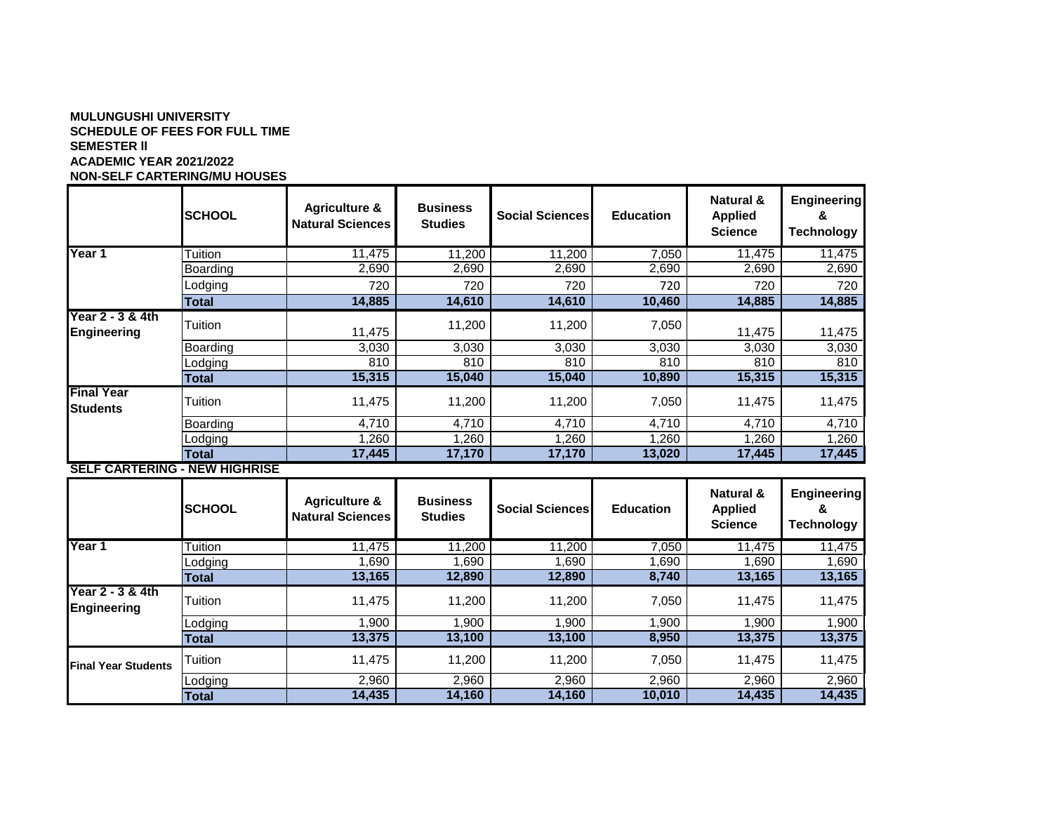## **MULUNGUSHI UNIVERSITY SCHEDULE OF FEES FOR FULL TIME SEMESTER ll ACADEMIC YEAR 2021/2022 NON-SELF CARTERING/MU HOUSES**

|                                        | <b>SCHOOL</b> | <b>Agriculture &amp;</b><br><b>Natural Sciences</b> | <b>Business</b><br><b>Studies</b> | <b>Social Sciences</b> | <b>Education</b> | <b>Natural &amp;</b><br><b>Applied</b><br><b>Science</b> | <b>Engineering</b><br>&<br><b>Technology</b> |
|----------------------------------------|---------------|-----------------------------------------------------|-----------------------------------|------------------------|------------------|----------------------------------------------------------|----------------------------------------------|
| Year 1                                 | Tuition       | 11,475                                              | 11,200                            | 11,200                 | 7,050            | 11,475                                                   | 11,475                                       |
|                                        | Boarding      | 2,690                                               | 2,690                             | 2,690                  | 2,690            | 2,690                                                    | 2,690                                        |
|                                        | Lodging       | 720                                                 | 720                               | 720                    | 720              | 720                                                      | 720                                          |
|                                        | <b>Total</b>  | 14,885                                              | 14,610                            | 14,610                 | 10,460           | 14,885                                                   | 14,885                                       |
| Year 2 - 3 & 4th<br><b>Engineering</b> | Tuition       | 11,475                                              | 11,200                            | 11,200                 | 7,050            | 11,475                                                   | 11,475                                       |
|                                        | Boarding      | 3,030                                               | 3,030                             | 3,030                  | 3,030            | 3,030                                                    | 3,030                                        |
|                                        | Lodging       | 810                                                 | 810                               | 810                    | 810              | 810                                                      | 810                                          |
|                                        | <b>Total</b>  | 15,315                                              | 15,040                            | 15,040                 | 10,890           | 15,315                                                   | 15,315                                       |
| <b>Final Year</b><br><b>Students</b>   | Tuition       | 11,475                                              | 11,200                            | 11,200                 | 7,050            | 11,475                                                   | 11,475                                       |
|                                        | Boarding      | 4,710                                               | 4,710                             | 4,710                  | 4,710            | 4,710                                                    | 4,710                                        |
|                                        | Lodging       | 1,260                                               | 1,260                             | 1,260                  | 1,260            | 1,260                                                    | 1,260                                        |
|                                        | <b>Total</b>  | 17,445                                              | 17,170                            | 17,170                 | 13,020           | 17,445                                                   | 17,445                                       |
| <b>SELF CARTERING - NEW HIGHRISE</b>   |               |                                                     |                                   |                        |                  |                                                          |                                              |
|                                        | <b>SCHOOL</b> | <b>Agriculture &amp;</b><br><b>Natural Sciences</b> | <b>Business</b><br><b>Studies</b> | <b>Social Sciences</b> | <b>Education</b> | Natural &<br><b>Applied</b><br><b>Science</b>            | <b>Engineering</b><br>&<br><b>Technology</b> |
| Year 1                                 | Tuition       | 11,475                                              | 11,200                            | 11,200                 | 7,050            | 11,475                                                   | 11,475                                       |
|                                        | _odging       | 1,690                                               | 1,690                             | 1,690                  | 1,690            | 1,690                                                    | 1,690                                        |
|                                        | <b>Total</b>  | 13,165                                              | 12,890                            | 12,890                 | 8,740            | 13,165                                                   | 13,165                                       |
| Year 2 - 3 & 4th<br>Engineering        | Tuition       | 11,475                                              | 11,200                            | 11,200                 | 7,050            | 11,475                                                   | 11,475                                       |
|                                        | _odging       | 1,900                                               | 1,900                             | 1,900                  | 1,900            | 1,900                                                    | 1,900                                        |
|                                        | <b>Total</b>  | 13,375                                              | 13,100                            | 13,100                 | 8,950            | 13,375                                                   | 13,375                                       |
| <b>Final Year Students</b>             | Tuition       | 11,475                                              | 11,200                            | 11,200                 | 7,050            | 11,475                                                   | 11,475                                       |
|                                        | Lodging       | 2,960                                               | 2,960                             | 2,960                  | 2,960            | 2,960                                                    | 2,960                                        |

**Total 14,435 14,160 14,160 10,010 14,435 14,435**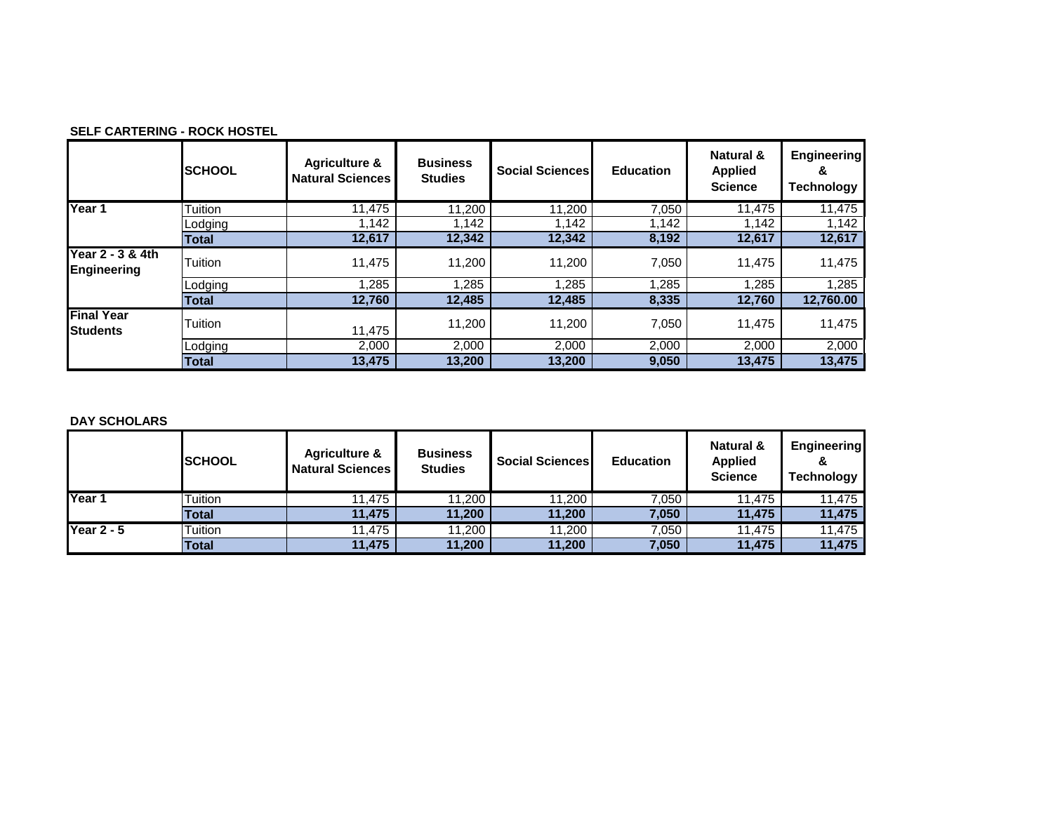| <b>SELF CARTERING - ROCK HOSTEL</b> |  |
|-------------------------------------|--|
|-------------------------------------|--|

|                                        | <b>SCHOOL</b> | <b>Agriculture &amp;</b><br><b>Natural Sciences</b> | <b>Business</b><br><b>Studies</b> | <b>Social Sciences</b> | <b>Education</b> | Natural &<br><b>Applied</b><br><b>Science</b> | <b>Engineering</b><br>ä<br><b>Technology</b> |
|----------------------------------------|---------------|-----------------------------------------------------|-----------------------------------|------------------------|------------------|-----------------------------------------------|----------------------------------------------|
| Year 1                                 | Tuition       | 11.475                                              | 11,200                            | 11,200                 | 7,050            | 11.475                                        | 11,475                                       |
|                                        | Lodging       | 1.142                                               | 1.142                             | 1,142                  | 1.142            | 1,142                                         | 1,142                                        |
|                                        | <b>Total</b>  | 12,617                                              | 12,342                            | 12,342                 | 8,192            | 12,617                                        | 12,617                                       |
| Year 2 - 3 & 4th<br><b>Engineering</b> | Tuition       | 11,475                                              | 11,200                            | 11,200                 | 7,050            | 11,475                                        | 11,475                                       |
|                                        | Lodging       | 1,285                                               | ,285                              | 1,285                  | 1,285            | 1,285                                         | 1,285                                        |
|                                        | <b>Total</b>  | 12,760                                              | 12,485                            | 12,485                 | 8,335            | 12,760                                        | 12,760.00                                    |
| <b>Final Year</b><br><b>Students</b>   | Tuition       | 11,475                                              | 11,200                            | 11,200                 | 7.050            | 11,475                                        | 11,475                                       |
|                                        | Lodging       | 2,000                                               | 2.000                             | 2,000                  | 2,000            | 2,000                                         | 2,000                                        |
|                                        | Total         | 13,475                                              | 13,200                            | 13,200                 | 9,050            | 13,475                                        | 13,475                                       |

## **DAY SCHOLARS**

|                   | <b>ISCHOOL</b> | <b>Agriculture &amp;</b><br><b>Natural Sciences</b> | <b>Business</b><br><b>Studies</b> | <b>Social Sciences</b> | <b>Education</b> | <b>Natural &amp;</b><br><b>Applied</b><br><b>Science</b> | <b>Engineering</b><br><b>Technology</b> |
|-------------------|----------------|-----------------------------------------------------|-----------------------------------|------------------------|------------------|----------------------------------------------------------|-----------------------------------------|
| Year 1            | Tuition        | 11.475                                              | 11.200                            | 11,200                 | 7.050            | 11.475                                                   | 11,475                                  |
|                   | Total          | 11.475                                              | 11.200                            | 11,200                 | 7,050            | 11.475                                                   | 11,475                                  |
| <b>Year 2 - 5</b> | Tuition        | 11.475                                              | 11,200                            | 11,200                 | 7,050            | 11.475                                                   | 11,475                                  |
|                   | <b>Total</b>   | 11,475                                              | 11,200                            | 11,200                 | 7,050            | 11,475                                                   | 11,475                                  |